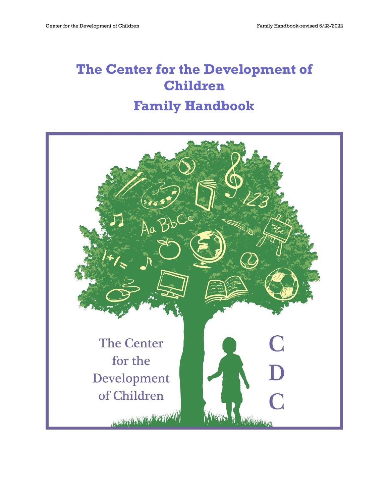# **The Center for the Development of Children Family Handbook**

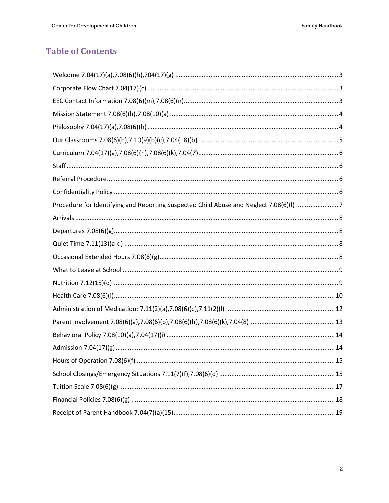# **Table of Contents**

| Procedure for Identifying and Reporting Suspected Child Abuse and Neglect 7.08(6)(I) 7 |
|----------------------------------------------------------------------------------------|
|                                                                                        |
|                                                                                        |
|                                                                                        |
|                                                                                        |
|                                                                                        |
|                                                                                        |
|                                                                                        |
|                                                                                        |
|                                                                                        |
|                                                                                        |
|                                                                                        |
|                                                                                        |
|                                                                                        |
|                                                                                        |
|                                                                                        |
|                                                                                        |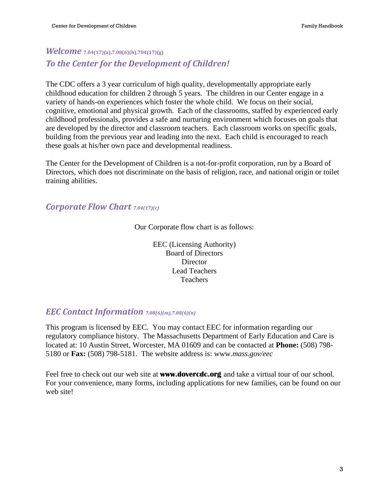# <span id="page-2-0"></span>*Welcome* **7.04(17)(a),7.08(6)(h),704(17)(g)** *To the Center for the Development of Children!*

The CDC offers a 3 year curriculum of high quality, developmentally appropriate early childhood education for children 2 through 5 years. The children in our Center engage in a variety of hands-on experiences which foster the whole child. We focus on their social, cognitive, emotional and physical growth. Each of the classrooms, staffed by experienced early childhood professionals, provides a safe and nurturing environment which focuses on goals that are developed by the director and classroom teachers. Each classroom works on specific goals, building from the previous year and leading into the next. Each child is encouraged to reach these goals at his/her own pace and developmental readiness.

The Center for the Development of Children is a not-for-profit corporation, run by a Board of Directors, which does not discriminate on the basis of religion, race, and national origin or toilet training abilities.

# <span id="page-2-1"></span>*Corporate Flow Chart 7.04(17)(c)*

Our Corporate flow chart is as follows:

EEC (Licensing Authority) Board of Directors **Director** Lead Teachers **Teachers** 

# <span id="page-2-2"></span>*EEC Contact Information 7.08(6)(m),7.08(6)(n)*

This program is licensed by EEC. You may contact EEC for information regarding our regulatory compliance history. The Massachusetts Department of Early Education and Care is located at: 10 Austin Street, Worcester, MA 01609 and can be contacted at **Phone:** (508) 798- 5180 or **Fax:** (508) 798-5181. The website address is: www.*mass.gov/eec*

Feel free to check out our web site at **www.dovercdc.org** and take a virtual tour of our school. For your convenience, many forms, including applications for new families, can be found on our web site!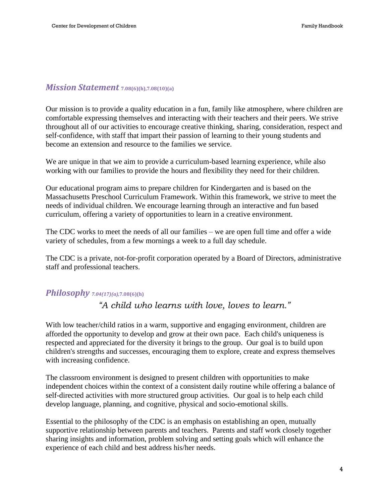#### <span id="page-3-0"></span>*Mission Statement* **7.08(6)(h),7.08(10)(a)**

Our mission is to provide a quality education in a fun, family like atmosphere, where children are comfortable expressing themselves and interacting with their teachers and their peers. We strive throughout all of our activities to encourage creative thinking, sharing, consideration, respect and self-confidence, with staff that impart their passion of learning to their young students and become an extension and resource to the families we service.

We are unique in that we aim to provide a curriculum-based learning experience, while also working with our families to provide the hours and flexibility they need for their children.

Our educational program aims to prepare children for Kindergarten and is based on the Massachusetts Preschool Curriculum Framework. Within this framework, we strive to meet the needs of individual children. We encourage learning through an interactive and fun based curriculum, offering a variety of opportunities to learn in a creative environment.

The CDC works to meet the needs of all our families – we are open full time and offer a wide variety of schedules, from a few mornings a week to a full day schedule.

The CDC is a private, not-for-profit corporation operated by a Board of Directors, administrative staff and professional teachers.

#### <span id="page-3-1"></span>*Philosophy 7.04(17)(a),***7.08(6)(h)**

*"A child who learns with love, loves to learn."*

With low teacher/child ratios in a warm, supportive and engaging environment, children are afforded the opportunity to develop and grow at their own pace. Each child's uniqueness is respected and appreciated for the diversity it brings to the group. Our goal is to build upon children's strengths and successes, encouraging them to explore, create and express themselves with increasing confidence.

The classroom environment is designed to present children with opportunities to make independent choices within the context of a consistent daily routine while offering a balance of self-directed activities with more structured group activities. Our goal is to help each child develop language, planning, and cognitive, physical and socio-emotional skills.

Essential to the philosophy of the CDC is an emphasis on establishing an open, mutually supportive relationship between parents and teachers. Parents and staff work closely together sharing insights and information, problem solving and setting goals which will enhance the experience of each child and best address his/her needs.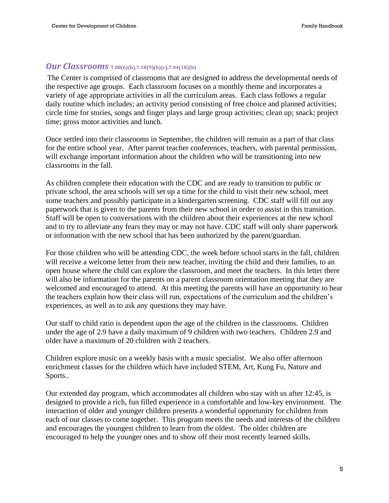#### <span id="page-4-0"></span>*Our Classrooms* **7.08(6)(h),7.10(9)(b)(c),7.04(18)(b)**

The Center is comprised of classrooms that are designed to address the developmental needs of the respective age groups. Each classroom focuses on a monthly theme and incorporates a variety of age appropriate activities in all the curriculum areas. Each class follows a regular daily routine which includes; an activity period consisting of free choice and planned activities; circle time for stories, songs and finger plays and large group activities; clean up; snack; project time; gross motor activities and lunch.

Once settled into their classrooms in September, the children will remain as a part of that class for the entire school year. After parent teacher conferences, teachers, with parental permission, will exchange important information about the children who will be transitioning into new classrooms in the fall.

As children complete their education with the CDC and are ready to transition to public or private school, the area schools will set up a time for the child to visit their new school, meet some teachers and possibly participate in a kindergarten screening. CDC staff will fill out any paperwork that is given to the parents from their new school in order to assist in this transition. Staff will be open to conversations with the children about their experiences at the new school and to try to alleviate any fears they may or may not have. CDC staff will only share paperwork or information with the new school that has been authorized by the parent/guardian.

For those children who will be attending CDC, the week before school starts in the fall, children will receive a welcome letter from their new teacher, inviting the child and their families, to an open house where the child can explore the classroom, and meet the teachers. In this letter there will also be information for the parents on a parent classroom orientation meeting that they are welcomed and encouraged to attend. At this meeting the parents will have an opportunity to hear the teachers explain how their class will run, expectations of the curriculum and the children's experiences, as well as to ask any questions they may have.

Our staff to child ratio is dependent upon the age of the children in the classrooms. Children under the age of 2.9 have a daily maximum of 9 children with two teachers. Children 2.9 and older have a maximum of 20 children with 2 teachers.

Children explore music on a weekly basis with a music specialist. We also offer afternoon enrichment classes for the children which have included STEM, Art, Kung Fu, Nature and Sports..

Our extended day program, which accommodates all children who stay with us after 12:45, is designed to provide a rich, fun filled experience in a comfortable and low-key environment. The interaction of older and younger children presents a wonderful opportunity for children from each of our classes to come together. This program meets the needs and interests of the children and encourages the youngest children to learn from the oldest. The older children are encouraged to help the younger ones and to show off their most recently learned skills.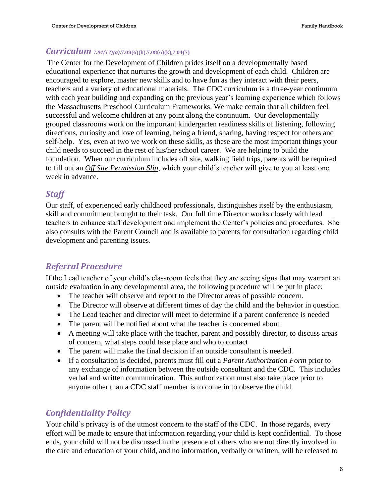# <span id="page-5-0"></span>*Curriculum 7.04(17)(a),***7.08(6)(h),7.08(6)(k),7.04(7)**

The Center for the Development of Children prides itself on a developmentally based educational experience that nurtures the growth and development of each child. Children are encouraged to explore, master new skills and to have fun as they interact with their peers, teachers and a variety of educational materials. The CDC curriculum is a three-year continuum with each year building and expanding on the previous year's learning experience which follows the Massachusetts Preschool Curriculum Frameworks. We make certain that all children feel successful and welcome children at any point along the continuum. Our developmentally grouped classrooms work on the important kindergarten readiness skills of listening, following directions, curiosity and love of learning, being a friend, sharing, having respect for others and self-help. Yes, even at two we work on these skills, as these are the most important things your child needs to succeed in the rest of his/her school career. We are helping to build the foundation. When our curriculum includes off site, walking field trips, parents will be required to fill out an *Off Site Permission Slip*, which your child's teacher will give to you at least one week in advance.

# <span id="page-5-1"></span>*Staff*

Our staff, of experienced early childhood professionals, distinguishes itself by the enthusiasm, skill and commitment brought to their task. Our full time Director works closely with lead teachers to enhance staff development and implement the Center's policies and procedures. She also consults with the Parent Council and is available to parents for consultation regarding child development and parenting issues.

# <span id="page-5-2"></span>*Referral Procedure*

If the Lead teacher of your child's classroom feels that they are seeing signs that may warrant an outside evaluation in any developmental area, the following procedure will be put in place:

- The teacher will observe and report to the Director areas of possible concern.
- The Director will observe at different times of day the child and the behavior in question
- The Lead teacher and director will meet to determine if a parent conference is needed
- The parent will be notified about what the teacher is concerned about
- A meeting will take place with the teacher, parent and possibly director, to discuss areas of concern, what steps could take place and who to contact
- The parent will make the final decision if an outside consultant is needed.
- If a consultation is decided, parents must fill out a *Parent Authorization Form* prior to any exchange of information between the outside consultant and the CDC. This includes verbal and written communication. This authorization must also take place prior to anyone other than a CDC staff member is to come in to observe the child.

# <span id="page-5-3"></span>*Confidentiality Policy*

Your child's privacy is of the utmost concern to the staff of the CDC. In those regards, every effort will be made to ensure that information regarding your child is kept confidential. To those ends, your child will not be discussed in the presence of others who are not directly involved in the care and education of your child, and no information, verbally or written, will be released to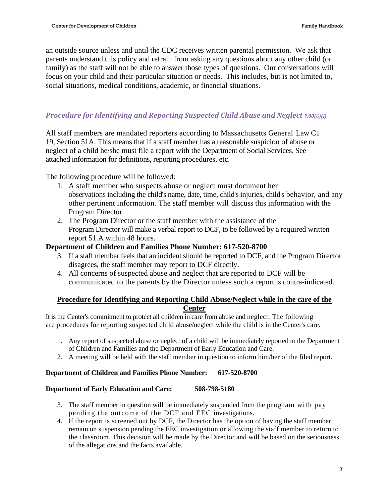an outside source unless and until the CDC receives written parental permission. We ask that parents understand this policy and refrain from asking any questions about any other child (or family) as the staff will not be able to answer those types of questions. Our conversations will focus on your child and their particular situation or needs. This includes, but is not limited to, social situations, medical conditions, academic, or financial situations.

#### <span id="page-6-0"></span>*Procedure for Identifying and Reporting Suspected Child Abuse and Neglect*  $7.08(6)(l)$

All staff members are mandated reporters according to Massachusetts General Law C1 19, Section 51A. This means that if a staff member has a reasonable suspicion of abuse or neglect of a child he/she must file a report with the Department of Social Services. See attached information for definitions, reporting procedures, etc.

The following procedure will be followed:

- 1. A staff member who suspects abuse or neglect must document her observations including the child's name, date, time, child's injuries, child's behavior, and any other pertinent information. The staff member will discuss this information with the Program Director.
- 2. The Program Director or the staff member with the assistance of the Program Director will make a verbal report to DCF, to be followed by a required written report 51 A within 48 hours.

#### **Department of Children and Families Phone Number: 617-520-8700**

- 3. If a staff member feels that an incident should be reported to DCF, and the Program Director disagrees, the staff member may report to DCF directly.
- 4. All concerns of suspected abuse and neglect that are reported to DCF will be communicated to the parents by the Director unless such a report is contra-indicated.

#### **Procedure for Identifying and Reporting Child Abuse/Neglect while in the care of the Center**

It is the Center's commitment to protect all children in care from abuse and neglect. The following are procedures for reporting suspected child abuse/neglect while the child is in the Center's care.

- 1. Any report of suspected abuse or neglect of a child will be immediately reported to the Department of Children and Families and the Department of Early Education and Care.
- 2. A meeting will be held with the staff member in question to inform him/her of the filed report.

#### **Department of Children and Families Phone Number: 617-520-8700**

#### **Department of Early Education and Care: 508-798-5180**

- 3. The staff member in question will be immediately suspended from the program with pay pending the outcome of the DCF and EEC investigations.
- 4. If the report is screened out by DCF, the Director has the option of having the staff member remain on suspension pending the EEC investigation or allowing the staff member to return to the classroom. This decision will be made by the Director and will be based on the seriousness of the allegations and the facts available.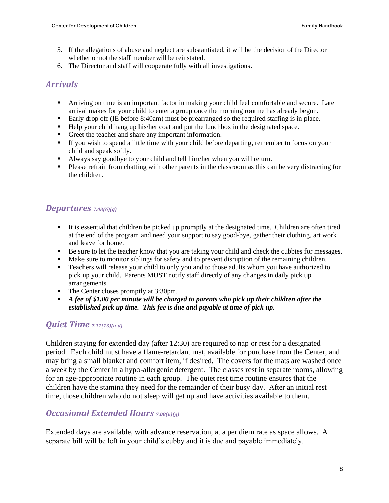- 5. If the allegations of abuse and neglect are substantiated, it will be the decision of the Director whether or not the staff member will be reinstated.
- 6. The Director and staff will cooperate fully with all investigations.

# <span id="page-7-0"></span>*Arrivals*

- **•** Arriving on time is an important factor in making your child feel comfortable and secure. Late arrival makes for your child to enter a group once the morning routine has already begun.
- Early drop off (IE before 8:40am) must be prearranged so the required staffing is in place.
- Help your child hang up his/her coat and put the lunchbox in the designated space.
- Greet the teacher and share any important information.
- **If you wish to spend a little time with your child before departing, remember to focus on your** child and speak softly.
- Always say goodbye to your child and tell him/her when you will return.
- Please refrain from chatting with other parents in the classroom as this can be very distracting for the children.

# <span id="page-7-1"></span>*Departures 7.08(6)(g)*

- It is essential that children be picked up promptly at the designated time. Children are often tired at the end of the program and need your support to say good-bye, gather their clothing, art work and leave for home.
- Be sure to let the teacher know that you are taking your child and check the cubbies for messages.
- **■** Make sure to monitor siblings for safety and to prevent disruption of the remaining children.
- **•** Teachers will release your child to only you and to those adults whom you have authorized to pick up your child. Parents MUST notify staff directly of any changes in daily pick up arrangements.
- The Center closes promptly at 3:30pm.
- *A fee of \$1.00 per minute will be charged to parents who pick up their children after the established pick up time. This fee is due and payable at time of pick up.*

# <span id="page-7-2"></span>*Quiet Time 7.11(13)(a-d)*

Children staying for extended day (after  $12:30$ ) are required to nap or rest for a designated period. Each child must have a flame-retardant mat, available for purchase from the Center, and may bring a small blanket and comfort item, if desired. The covers for the mats are washed once a week by the Center in a hypo-allergenic detergent. The classes rest in separate rooms, allowing for an age-appropriate routine in each group. The quiet rest time routine ensures that the children have the stamina they need for the remainder of their busy day. After an initial rest time, those children who do not sleep will get up and have activities available to them.

# <span id="page-7-3"></span>*Occasional Extended Hours 7.08(6)(g)*

Extended days are available, with advance reservation, at a per diem rate as space allows. A separate bill will be left in your child's cubby and it is due and payable immediately.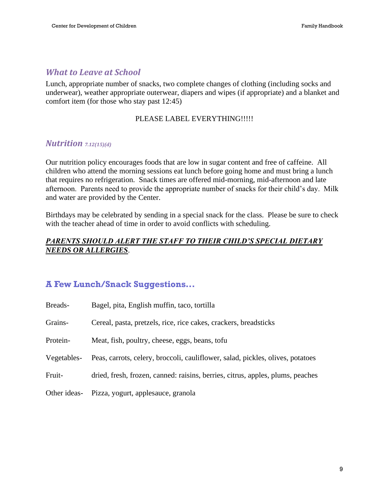#### <span id="page-8-0"></span>*What to Leave at School*

Lunch, appropriate number of snacks, two complete changes of clothing (including socks and underwear), weather appropriate outerwear, diapers and wipes (if appropriate) and a blanket and comfort item (for those who stay past 12:45)

#### PLEASE LABEL EVERYTHING!!!!!

### <span id="page-8-1"></span>*Nutrition 7.12(15)(d)*

Our nutrition policy encourages foods that are low in sugar content and free of caffeine. All children who attend the morning sessions eat lunch before going home and must bring a lunch that requires no refrigeration. Snack times are offered mid-morning, mid-afternoon and late afternoon. Parents need to provide the appropriate number of snacks for their child's day. Milk and water are provided by the Center.

Birthdays may be celebrated by sending in a special snack for the class. Please be sure to check with the teacher ahead of time in order to avoid conflicts with scheduling.

#### *PARENTS SHOULD ALERT THE STAFF TO THEIR CHILD'S SPECIAL DIETARY NEEDS OR ALLERGIES*.

# **A Few Lunch/Snack Suggestions...**

| Breads-      | Bagel, pita, English muffin, taco, tortilla                                    |  |  |
|--------------|--------------------------------------------------------------------------------|--|--|
| Grains-      | Cereal, pasta, pretzels, rice, rice cakes, crackers, breadsticks               |  |  |
| Protein-     | Meat, fish, poultry, cheese, eggs, beans, tofu                                 |  |  |
| Vegetables-  | Peas, carrots, celery, broccoli, cauliflower, salad, pickles, olives, potatoes |  |  |
| Fruit-       | dried, fresh, frozen, canned: raisins, berries, citrus, apples, plums, peaches |  |  |
| Other ideas- | Pizza, yogurt, applesauce, granola                                             |  |  |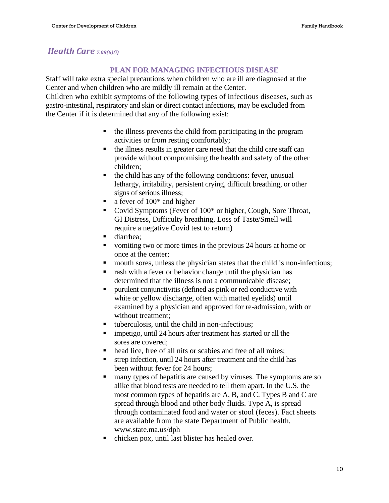# <span id="page-9-0"></span>*Health Care 7.08(6)(i)*

# **PLAN FOR MANAGING INFECTIOUS DISEASE**

Staff will take extra special precautions when children who are ill are diagnosed at the Center and when children who are mildly ill remain at the Center.

Children who exhibit symptoms of the following types of infectious diseases, such as gastro-intestinal, respiratory and skin or direct contact infections, may be excluded from the Center if it is determined that any of the following exist:

- the illness prevents the child from participating in the program activities or from resting comfortably;
- the illness results in greater care need that the child care staff can provide without compromising the health and safety of the other children;
- the child has any of the following conditions: fever, unusual lethargy, irritability, persistent crying, difficult breathing, or other signs of serious illness;
- a fever of  $100*$  and higher
- Covid Symptoms (Fever of 100<sup>\*</sup> or higher, Cough, Sore Throat, GI Distress, Difficulty breathing, Loss of Taste/Smell will require a negative Covid test to return)
- diarrhea;
- vomiting two or more times in the previous 24 hours at home or once at the center;
- mouth sores, unless the physician states that the child is non-infectious;
- rash with a fever or behavior change until the physician has determined that the illness is not a communicable disease;
- purulent conjunctivitis (defined as pink or red conductive with white or yellow discharge, often with matted eyelids) until examined by a physician and approved for re-admission, with or without treatment;
- tuberculosis, until the child in non-infectious;
- **EXECUTE:** impetigo, until 24 hours after treatment has started or all the sores are covered;
- head lice, free of all nits or scabies and free of all mites;
- strep infection, until 24 hours after treatment and the child has been without fever for 24 hours;
- many types of hepatitis are caused by viruses. The symptoms are so alike that blood tests are needed to tell them apart. In the U.S. the most common types of hepatitis are A, B, and C. Types B and C are spread through blood and other body fluids. Type A, is spread through contaminated food and water or stool (feces). Fact sheets are available from the state Department of Public health. [www.state.ma.us/dph](http://www.state.ma.us/dph)
- chicken pox, until last blister has healed over.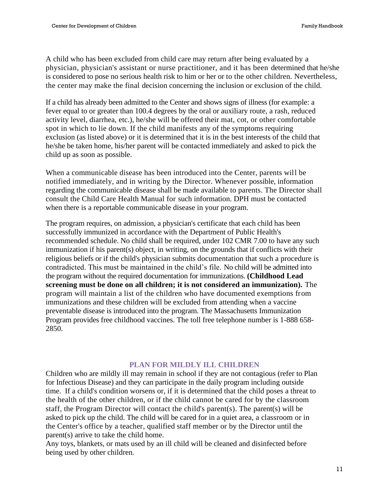A child who has been excluded from child care may return after being evaluated by a physician, physician's assistant or nurse practitioner, and it has been determined that he/she is considered to pose no serious health risk to him or her or to the other children. Nevertheless, the center may make the final decision concerning the inclusion or exclusion of the child.

If a child has already been admitted to the Center and shows signs of illness (for example: a fever equal to or greater than 100.4 degrees by the oral or auxiliary route, a rash, reduced activity level, diarrhea, etc.), he/she will be offered their mat, cot, or other comfortable spot in which to lie down. If the child manifests any of the symptoms requiring exclusion (as listed above) or it is determined that it is in the best interests of the child that he/she be taken home, his/her parent will be contacted immediately and asked to pick the child up as soon as possible.

When a communicable disease has been introduced into the Center, parents will be notified immediately, and in writing by the Director. Whenever possible, information regarding the communicable disease shall be made available to parents. The Director shall consult the Child Care Health Manual for such information. DPH must be contacted when there is a reportable communicable disease in your program.

The program requires, on admission, a physician's certificate that each child has been successfully immunized in accordance with the Department of Public Health's recommended schedule. No child shall be required, under 102 CMR 7.00 to have any such immunization if his parent(s) object, in writing, on the grounds that if conflicts with their religious beliefs or if the child's physician submits documentation that such a procedure is contradicted. This must be maintained in the child's file. No child will be admitted into the program without the required documentation for immunizations. **(Childhood Lead screening must be done on all children; it is not considered an immunization).** The program will maintain a list of the children who have documented exemptions from immunizations and these children will be excluded from attending when a vaccine preventable disease is introduced into the program. The Massachusetts Immunization Program provides free childhood vaccines. The toll free telephone number is 1-888 658- 2850.

#### **PLAN FOR MILDLY ILL CHILDREN**

Children who are mildly ill may remain in school if they are not contagious (refer to Plan for Infectious Disease) and they can participate in the daily program including outside time. If a child's condition worsens or, if it is determined that the child poses a threat to the health of the other children, or if the child cannot be cared for by the classroom staff, the Program Director will contact the child's parent(s). The parent(s) will be asked to pick up the child. The child will be cared for in a quiet area, a classroom or in the Center's office by a teacher, qualified staff member or by the Director until the parent(s) arrive to take the child home.

Any toys, blankets, or mats used by an ill child will be cleaned and disinfected before being used by other children.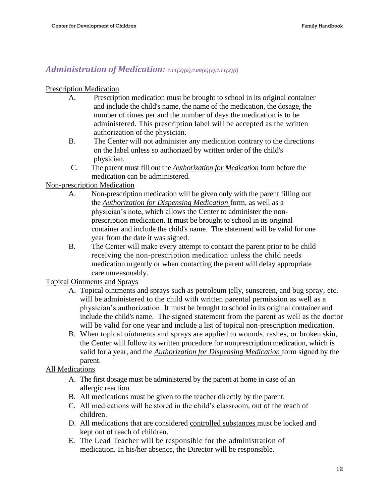# <span id="page-11-0"></span>*Administration of Medication: 7.11(2)(a),7.08(6)(c),7.11(2)(l)*

#### Prescription Medication

- A. Prescription medication must be brought to school in its original container and include the child's name, the name of the medication, the dosage, the number of times per and the number of days the medication is to be administered. This prescription label will be accepted as the written authorization of the physician.
- B. The Center will not administer any medication contrary to the directions on the label unless so authorized by written order of the child's physician.
- C. The parent must fill out the *Authorization for Medication* form before the medication can be administered.

# Non-prescription Medication

- A. Non-prescription medication will be given only with the parent filling out the *Authorization for Dispensing Medication* form, as well as a physician's note, which allows the Center to administer the nonprescription medication. It must be brought to school in its original container and include the child's name. The statement will be valid for one year from the date it was signed.
- B. The Center will make every attempt to contact the parent prior to be child receiving the non-prescription medication unless the child needs medication urgently or when contacting the parent will delay appropriate care unreasonably.

# Topical Ointments and Sprays

- A. Topical ointments and sprays such as petroleum jelly, sunscreen, and bug spray, etc. will be administered to the child with written parental permission as well as a physician's authorization. It must be brought to school in its original container and include the child's name. The signed statement from the parent as well as the doctor will be valid for one year and include a list of topical non-prescription medication.
- B. When topical ointments and sprays are applied to wounds, rashes, or broken skin, the Center will follow its written procedure for nonprescription medication, which is valid for a year, and the *Authorization for Dispensing Medication* form signed by the parent.

**All Medications** 

- A. The first dosage must be administered by the parent at home in case of an allergic reaction.
- B. All medications must be given to the teacher directly by the parent.
- C. All medications will be stored in the child's classroom, out of the reach of children.
- D. All medications that are considered controlled substances must be locked and kept out of reach of children.
- E. The Lead Teacher will be responsible for the administration of medication. In his/her absence, the Director will be responsible.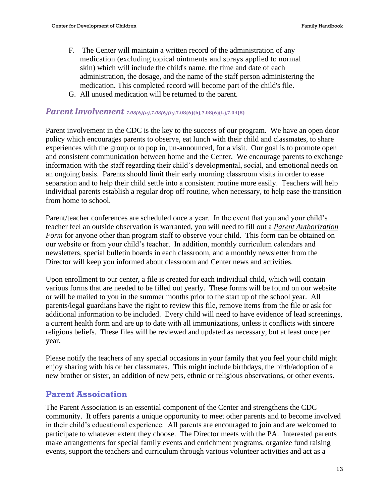- F. The Center will maintain a written record of the administration of any medication (excluding topical ointments and sprays applied to normal skin) which will include the child's name, the time and date of each administration, the dosage, and the name of the staff person administering the medication. This completed record will become part of the child's file.
- G. All unused medication will be returned to the parent.

#### <span id="page-12-0"></span>*Parent Involvement 7.08(6)(a),7.08(6)(b),***7.08(6)(h),7.08(6)(k),7.04(8)**

Parent involvement in the CDC is the key to the success of our program. We have an open door policy which encourages parents to observe, eat lunch with their child and classmates, to share experiences with the group or to pop in, un-announced, for a visit. Our goal is to promote open and consistent communication between home and the Center. We encourage parents to exchange information with the staff regarding their child's developmental, social, and emotional needs on an ongoing basis. Parents should limit their early morning classroom visits in order to ease separation and to help their child settle into a consistent routine more easily. Teachers will help individual parents establish a regular drop off routine, when necessary, to help ease the transition from home to school.

Parent/teacher conferences are scheduled once a year. In the event that you and your child's teacher feel an outside observation is warranted, you will need to fill out a *Parent Authorization Form* for anyone other than program staff to observe your child. This form can be obtained on our website or from your child's teacher. In addition, monthly curriculum calendars and newsletters, special bulletin boards in each classroom, and a monthly newsletter from the Director will keep you informed about classroom and Center news and activities.

Upon enrollment to our center, a file is created for each individual child, which will contain various forms that are needed to be filled out yearly. These forms will be found on our website or will be mailed to you in the summer months prior to the start up of the school year. All parents/legal guardians have the right to review this file, remove items from the file or ask for additional information to be included. Every child will need to have evidence of lead screenings, a current health form and are up to date with all immunizations, unless it conflicts with sincere religious beliefs. These files will be reviewed and updated as necessary, but at least once per year.

Please notify the teachers of any special occasions in your family that you feel your child might enjoy sharing with his or her classmates. This might include birthdays, the birth/adoption of a new brother or sister, an addition of new pets, ethnic or religious observations, or other events.

# **Parent Assoication**

The Parent Association is an essential component of the Center and strengthens the CDC community. It offers parents a unique opportunity to meet other parents and to become involved in their child's educational experience. All parents are encouraged to join and are welcomed to participate to whatever extent they choose. The Director meets with the PA. Interested parents make arrangements for special family events and enrichment programs, organize fund raising events, support the teachers and curriculum through various volunteer activities and act as a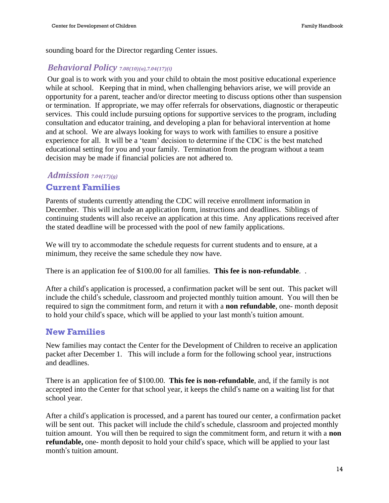<span id="page-13-0"></span>sounding board for the Director regarding Center issues.

# *Behavioral Policy 7.08(10)(a),7.04(17)(i)*

Our goal is to work with you and your child to obtain the most positive educational experience while at school. Keeping that in mind, when challenging behaviors arise, we will provide an opportunity for a parent, teacher and/or director meeting to discuss options other than suspension or termination. If appropriate, we may offer referrals for observations, diagnostic or therapeutic services. This could include pursuing options for supportive services to the program, including consultation and educator training, and developing a plan for behavioral intervention at home and at school. We are always looking for ways to work with families to ensure a positive experience for all. It will be a 'team' decision to determine if the CDC is the best matched educational setting for you and your family. Termination from the program without a team decision may be made if financial policies are not adhered to.

### <span id="page-13-1"></span>*Admission 7.04(17)(g)*

# **Current Families**

Parents of students currently attending the CDC will receive enrollment information in December. This will include an application form, instructions and deadlines. Siblings of continuing students will also receive an application at this time. Any applications received after the stated deadline will be processed with the pool of new family applications.

We will try to accommodate the schedule requests for current students and to ensure, at a minimum, they receive the same schedule they now have.

There is an application fee of \$100.00 for all families. **This fee is non-refundable**. .

After a child's application is processed, a confirmation packet will be sent out. This packet will include the child's schedule, classroom and projected monthly tuition amount. You will then be required to sign the commitment form, and return it with a **non refundable**, one- month deposit to hold your child's space, which will be applied to your last month's tuition amount.

# **New Families**

New families may contact the Center for the Development of Children to receive an application packet after December 1. This will include a form for the following school year, instructions and deadlines.

There is an application fee of \$100.00. **This fee is non-refundable**, and, if the family is not accepted into the Center for that school year, it keeps the child's name on a waiting list for that school year.

After a child's application is processed, and a parent has toured our center, a confirmation packet will be sent out. This packet will include the child's schedule, classroom and projected monthly tuition amount. You will then be required to sign the commitment form, and return it with a **non refundable,** one- month deposit to hold your child's space, which will be applied to your last month's tuition amount.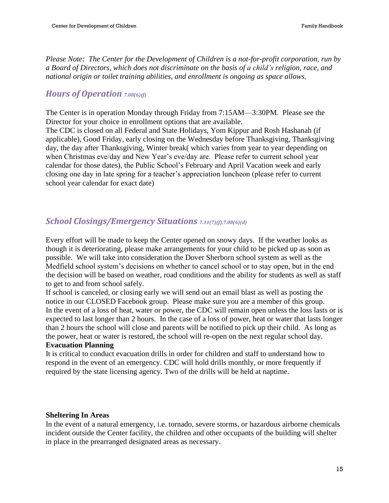*Please Note: The Center for the Development of Children is a not-for-profit corporation, run by a Board of Directors, which does not discriminate on the basis of a child's religion, race, and national origin or toilet training abilities, and enrollment is ongoing as space allows.*

# <span id="page-14-0"></span>*Hours of Operation 7.08(6)(f)*

The Center is in operation Monday through Friday from 7:15AM—3:30PM. Please see the Director for your choice in enrollment options that are available.

The CDC is closed on all Federal and State Holidays, Yom Kippur and Rosh Hashanah (if applicable), Good Friday, early closing on the Wednesday before Thanksgiving, Thanksgiving day, the day after Thanksgiving, Winter break( which varies from year to year depending on when Christmas eve/day and New Year's eve/day are. Please refer to current school year calendar for those dates), the Public School's February and April Vacation week and early closing one day in late spring for a teacher's appreciation luncheon (please refer to current school year calendar for exact date)

# <span id="page-14-1"></span>*School Closings/Emergency Situations 7.11(7)(f),7.08(6)(d)*

Every effort will be made to keep the Center opened on snowy days. If the weather looks as though it is deteriorating, please make arrangements for your child to be picked up as soon as possible. We will take into consideration the Dover Sherborn school system as well as the Medfield school system's decisions on whether to cancel school or to stay open, but in the end the decision will be based on weather, road conditions and the ability for students as well as staff to get to and from school safely.

If school is canceled, or closing early we will send out an email blast as well as posting the notice in our CLOSED Facebook group. Please make sure you are a member of this group. In the event of a loss of heat, water or power, the CDC will remain open unless the loss lasts or is expected to last longer than 2 hours. In the case of a loss of power, heat or water that lasts longer than 2 hours the school will close and parents will be notified to pick up their child. As long as the power, heat or water is restored, the school will re-open on the next regular school day.

#### **Evacuation Planning**

It is critical to conduct evacuation drills in order for children and staff to understand how to respond in the event of an emergency. CDC will hold drills monthly, or more frequently if required by the state licensing agency. Two of the drills will be held at naptime.

#### **Sheltering In Areas**

In the event of a natural emergency, i.e. tornado, severe storms, or hazardous airborne chemicals incident outside the Center facility, the children and other occupants of the building will shelter in place in the prearranged designated areas as necessary.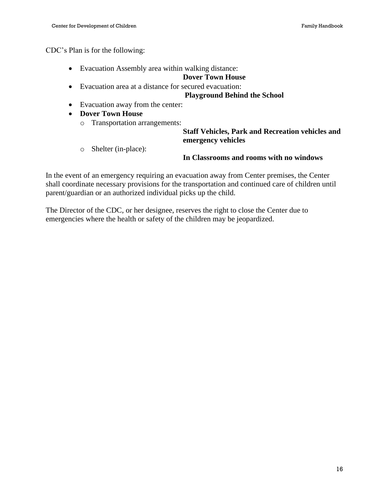CDC's Plan is for the following:

• Evacuation Assembly area within walking distance:

#### **Dover Town House**

• Evacuation area at a distance for secured evacuation:

#### **Playground Behind the School**

- Evacuation away from the center:
- **Dover Town House**
	- o Transportation arrangements:

#### **Staff Vehicles, Park and Recreation vehicles and emergency vehicles**

o Shelter (in-place):

#### **In Classrooms and rooms with no windows**

In the event of an emergency requiring an evacuation away from Center premises, the Center shall coordinate necessary provisions for the transportation and continued care of children until parent/guardian or an authorized individual picks up the child.

The Director of the CDC, or her designee, reserves the right to close the Center due to emergencies where the health or safety of the children may be jeopardized.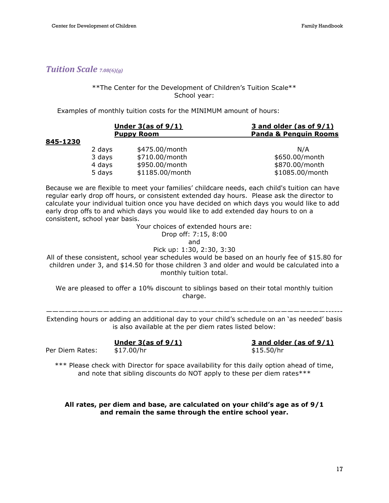# <span id="page-16-0"></span>*Tuition Scale 7.08(6)(g)*

\*\*The Center for the Development of Children's Tuition Scale\*\* School year:

Examples of monthly tuition costs for the MINIMUM amount of hours:

| Under $3(as of 9/1)$<br><b>Puppy Room</b> |        |                 | 3 and older (as of $9/1$ )<br><b>Panda &amp; Penguin Rooms</b> |  |
|-------------------------------------------|--------|-----------------|----------------------------------------------------------------|--|
| 845-1230                                  |        |                 |                                                                |  |
|                                           | 2 days | \$475.00/month  | N/A                                                            |  |
|                                           | 3 days | \$710.00/month  | \$650.00/month                                                 |  |
|                                           | 4 days | \$950.00/month  | \$870.00/month                                                 |  |
|                                           | 5 days | \$1185.00/month | \$1085.00/month                                                |  |

Because we are flexible to meet your families' childcare needs, each child's tuition can have regular early drop off hours, or consistent extended day hours. Please ask the director to calculate your individual tuition once you have decided on which days you would like to add early drop offs to and which days you would like to add extended day hours to on a consistent, school year basis.

Your choices of extended hours are:

Drop off: 7:15, 8:00

and

Pick up: 1:30, 2:30, 3:30

All of these consistent, school year schedules would be based on an hourly fee of \$15.80 for children under 3, and \$14.50 for those children 3 and older and would be calculated into a monthly tuition total.

We are pleased to offer a 10% discount to siblings based on their total monthly tuition charge.

————————————————————————————————————————————------ Extending hours or adding an additional day to your child's schedule on an 'as needed' basis is also available at the per diem rates listed below:

Per Diem Rates:  $$17.00/hr$  \$15.50/hr

**Under 3(as of 9/1) 3 and older (as of 9/1)**

\*\*\* Please check with Director for space availability for this daily option ahead of time, and note that sibling discounts do NOT apply to these per diem rates\*\*\*

**All rates, per diem and base, are calculated on your child's age as of 9/1 and remain the same through the entire school year.**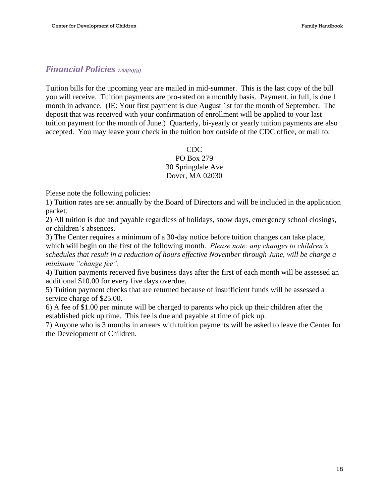### <span id="page-17-0"></span>*Financial Policies 7.08(6)(g)*

Tuition bills for the upcoming year are mailed in mid-summer. This is the last copy of the bill you will receive. Tuition payments are pro-rated on a monthly basis. Payment, in full, is due 1 month in advance. (IE: Your first payment is due August 1st for the month of September. The deposit that was received with your confirmation of enrollment will be applied to your last tuition payment for the month of June.) Quarterly, bi-yearly or yearly tuition payments are also accepted. You may leave your check in the tuition box outside of the CDC office, or mail to:

#### CDC

#### PO Box 279 30 Springdale Ave Dover, MA 02030

Please note the following policies:

1) Tuition rates are set annually by the Board of Directors and will be included in the application packet.

2) All tuition is due and payable regardless of holidays, snow days, emergency school closings, or children's absences.

3) The Center requires a minimum of a 30-day notice before tuition changes can take place, which will begin on the first of the following month. *Please note: any changes to children's schedules that result in a reduction of hours effective November through June, will be charge a minimum "change fee".*

4) Tuition payments received five business days after the first of each month will be assessed an additional \$10.00 for every five days overdue.

5) Tuition payment checks that are returned because of insufficient funds will be assessed a service charge of \$25.00.

6) A fee of \$1.00 per minute will be charged to parents who pick up their children after the established pick up time. This fee is due and payable at time of pick up.

7) Anyone who is 3 months in arrears with tuition payments will be asked to leave the Center for the Development of Children.